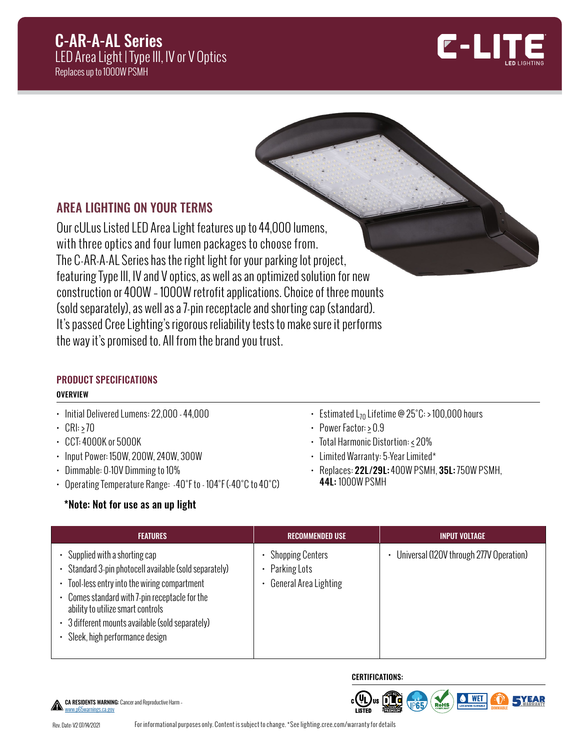## C-AR-A-AL Series LED Area Light | Type III, IV or V Optics Replaces up to 1000W PSMH



## AREA LIGHTING ON YOUR TERMS

Our cULus Listed LED Area Light features up to 44,000 lumens, with three optics and four lumen packages to choose from. The C-AR-A-AL Series has the right light for your parking lot project, featuring Type III, IV and V optics, as well as an optimized solution for new construction or 400W – 1000W retrofit applications. Choice of three mounts (sold separately), as well as a 7-pin receptacle and shorting cap (standard). It's passed Cree Lighting's rigorous reliability tests to make sure it performs the way it's promised to. All from the brand you trust.

## PRODUCT SPECIFICATIONS **OVERVIEW**

- Initial Delivered Lumens: 22,000 44,000
- $\cdot$  CRI: > 70
- CCT: 4000K or 5000K
- Input Power: 150W, 200W, 240W, 300W
- Dimmable: 0-10V Dimming to 10%
- Operating Temperature Range: -40°F to 104°F (-40°C to 40°C)

## \*Note: Not for use as an up light

- Estimated  $L_{70}$  Lifetime @ 25°C: > 100,000 hours
- Power Factor: > 0.9
- Total Harmonic Distortion: < 20%
- Limited Warranty: 5-Year Limited\*
- Replaces: 22L/29L: 400W PSMH, 35L: 750W PSMH, 44L: 1000W PSMH

| <b>FEATURES</b>                                                                                                                                                                                                                                                                                                  | <b>RECOMMENDED USE</b>                                      | <b>INPUT VOLTAGE</b>                    |
|------------------------------------------------------------------------------------------------------------------------------------------------------------------------------------------------------------------------------------------------------------------------------------------------------------------|-------------------------------------------------------------|-----------------------------------------|
| Supplied with a shorting cap<br>• Standard 3-pin photocell available (sold separately)<br>Tool-less entry into the wiring compartment<br>Comes standard with 7-pin receptacle for the<br>ability to utilize smart controls<br>• 3 different mounts available (sold separately)<br>Sleek, high performance design | Shopping Centers<br>• Parking Lots<br>General Area Lighting | Universal (120V through 277V Operation) |

**CERTIFICATIONS:** 



CA RESIDENTS WARNING: Cancer and Reproductive Harm – [www.p65warnings.ca.gov](http://www.p65warnings.ca.gov)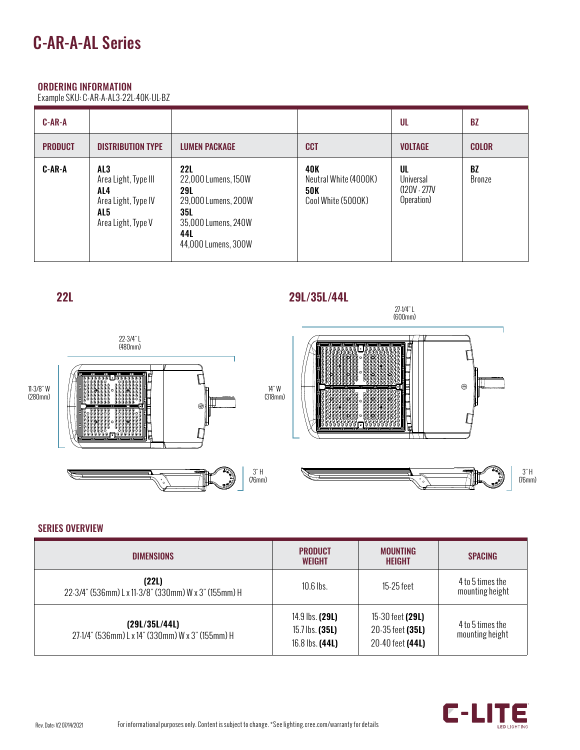## ORDERING INFORMATION

Example SKU: C-AR-A-AL3-22L-40K-UL-BZ

| $C-AR-A$       |                                                                                        |                                                                                                                                           |                                                                  | UL                                               | <b>BZ</b>           |
|----------------|----------------------------------------------------------------------------------------|-------------------------------------------------------------------------------------------------------------------------------------------|------------------------------------------------------------------|--------------------------------------------------|---------------------|
| <b>PRODUCT</b> | <b>DISTRIBUTION TYPE</b>                                                               | <b>LUMEN PACKAGE</b>                                                                                                                      | <b>CCT</b>                                                       | <b>VOLTAGE</b>                                   | <b>COLOR</b>        |
| C-AR-A         | AL3<br>Area Light, Type III<br>AL4<br>Area Light, Type IV<br>AL5<br>Area Light, Type V | <b>22L</b><br>22,000 Lumens, 150W<br><b>29L</b><br>29,000 Lumens, 200W<br><b>35L</b><br>35,000 Lumens, 240W<br>44L<br>44,000 Lumens, 300W | 40K<br>Neutral White (4000K)<br><b>50K</b><br>Cool White (5000K) | UL<br>Universal<br>$(120V - 277V)$<br>Operation) | <b>BZ</b><br>Bronze |



### SERIES OVERVIEW

| <b>DIMENSIONS</b>                                                 | <b>PRODUCT</b><br><b>WEIGHT</b>                         | <b>MOUNTING</b><br><b>HEIGHT</b>                                | <b>SPACING</b>                      |
|-------------------------------------------------------------------|---------------------------------------------------------|-----------------------------------------------------------------|-------------------------------------|
| (22L)<br>22-3/4" (536mm) L x 11-3/8" (330mm) W x 3" (155mm) H     | $10.6$ lbs.                                             | 15-25 feet                                                      | 4 to 5 times the<br>mounting height |
| (29L/35L/44L)<br>27-1/4" (536mm) L x 14" (330mm) W x 3" (155mm) H | 14.9 lbs. (29L)<br>15.7 lbs. $(35L)$<br>16.8 lbs. (44L) | 15-30 feet <b>(29L)</b><br>20-35 feet (35L)<br>20-40 feet (44L) | 4 to 5 times the<br>mounting height |

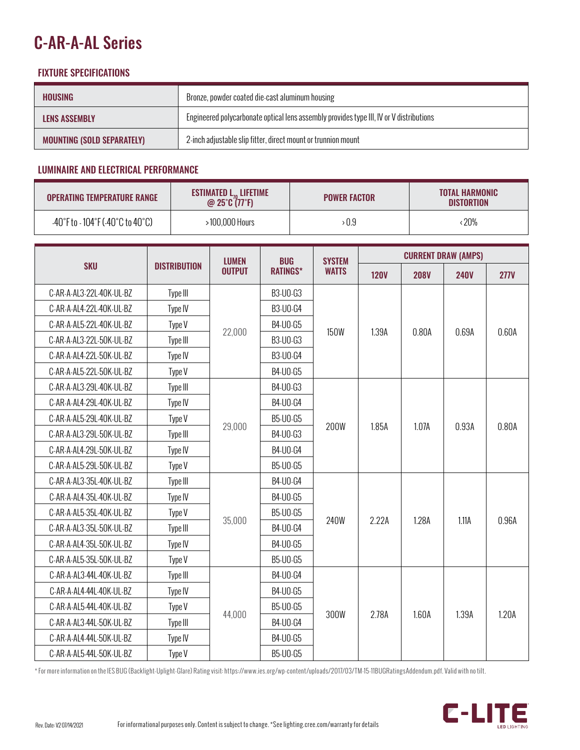# C-AR-A-AL Series

## FIXTURE SPECIFICATIONS

| HOUSING                           | Bronze, powder coated die-cast aluminum housing                                         |
|-----------------------------------|-----------------------------------------------------------------------------------------|
| LENS ASSEMBLY                     | Engineered polycarbonate optical lens assembly provides type III, IV or V distributions |
| <b>MOUNTING (SOLD SEPARATELY)</b> | 2-inch adjustable slip fitter, direct mount or trunnion mount                           |

## LUMINAIRE AND ELECTRICAL PERFORMANCE

| <b>OPERATING TEMPERATURE RANGE</b>                                       | <b>ESTIMATED <math>L_{70}</math> LIFETIME</b><br>@ $25^{\circ}C(77^{\circ}F)$ | <b>POWER FACTOR</b> | <b>TOTAL HARMONIC</b><br><b>DISTORTION</b> |  |
|--------------------------------------------------------------------------|-------------------------------------------------------------------------------|---------------------|--------------------------------------------|--|
| $-40^{\circ}$ F to $-104^{\circ}$ F ( $-40^{\circ}$ C to $40^{\circ}$ C) | 100,000 Hours                                                                 | 0.9 ‹               | : 20%                                      |  |

|                          |                     |               | <b>LUMEN</b><br><b>BUG</b><br><b>SYSTEM</b> |              | <b>CURRENT DRAW (AMPS)</b> |             |             |             |
|--------------------------|---------------------|---------------|---------------------------------------------|--------------|----------------------------|-------------|-------------|-------------|
| <b>SKU</b>               | <b>DISTRIBUTION</b> | <b>OUTPUT</b> | <b>RATINGS*</b>                             | <b>WATTS</b> | <b>120V</b>                | <b>208V</b> | <b>240V</b> | <b>277V</b> |
| C-AR-A-AL3-22L-40K-UL-BZ | Type III            |               | B3-U0-G3                                    |              |                            | 0.80A       | 0.69A       | 0.60A       |
| C-AR-A-AL4-22L-40K-UL-BZ | Type IV             |               | <b>B3-U0-G4</b>                             |              |                            |             |             |             |
| C-AR-A-AL5-22L-40K-UL-BZ | Type V              |               | B4-U0-G5                                    |              | 1.39A                      |             |             |             |
| C-AR-A-AL3-22L-50K-UL-BZ | Type III            | 22,000        | B3-U0-G3                                    | <b>150W</b>  |                            |             |             |             |
| C-AR-A-AL4-22L-50K-UL-BZ | Type IV             |               | B3-U0-G4                                    |              |                            |             |             |             |
| C-AR-A-AL5-22L-50K-UL-BZ | Type V              |               | B4-U0-G5                                    |              |                            |             |             |             |
| C-AR-A-AL3-29L-40K-UL-BZ | Type III            |               | B4-U0-G3                                    |              |                            |             | 0.93A       | 0.80A       |
| C-AR-A-AL4-29L-40K-UL-BZ | Type IV             |               | B4-U0-G4                                    |              |                            |             |             |             |
| C-AR-A-AL5-29L-40K-UL-BZ | Type V              | 29,000        | B5-U0-G5                                    | <b>200W</b>  | 1.85A                      | 1.07A       |             |             |
| C-AR-A-AL3-29L-50K-UL-BZ | Type III            |               | B4-U0-G3                                    |              |                            |             |             |             |
| C-AR-A-AL4-29L-50K-UL-BZ | Type IV             |               | B4-U0-G4                                    |              |                            |             |             |             |
| C-AR-A-AL5-29L-50K-UL-BZ | Type V              |               | B5-U0-G5                                    |              |                            |             |             |             |
| C-AR-A-AL3-35L-40K-UL-BZ | Type III            |               | B4-U0-G4                                    |              | 2.22A                      | 1.28A       | 1.11A       | 0.96A       |
| C-AR-A-AL4-35L-40K-UL-BZ | Type IV             | 35,000        | B4-U0-G5                                    |              |                            |             |             |             |
| C-AR-A-AL5-35L-40K-UL-BZ | Type V              |               | B5-U0-G5                                    | 240W         |                            |             |             |             |
| C-AR-A-AL3-35L-50K-UL-BZ | Type III            |               | B4-U0-G4                                    |              |                            |             |             |             |
| C-AR-A-AL4-35L-50K-UL-BZ | Type IV             |               | B4-U0-G5                                    |              |                            |             |             |             |
| C-AR-A-AL5-35L-50K-UL-BZ | Type V              |               | <b>B5-U0-G5</b>                             |              |                            |             |             |             |
| C-AR-A-AL3-44L-40K-UL-BZ | Type III            |               | B4-U0-G4                                    |              |                            |             | 1.39A       |             |
| C-AR-A-AL4-44L-40K-UL-BZ | Type IV             | 44,000        | B4-U0-G5                                    |              |                            |             |             |             |
| C-AR-A-AL5-44L-40K-UL-BZ | Type V              |               | <b>B5-U0-G5</b>                             |              |                            |             |             |             |
| C-AR-A-AL3-44L-50K-UL-BZ | Type III            |               | B4-U0-G4                                    | 300W         | 2.78A                      | 1.60A       |             | 1.20A       |
| C-AR-A-AL4-44L-50K-UL-BZ | Type IV             |               | B4-U0-G5                                    |              |                            |             |             |             |
| C-AR-A-AL5-44L-50K-UL-BZ | Type V              |               | B5-U0-G5                                    |              |                            |             |             |             |

\* For more information on the IES BUG (Backlight-Uplight-Glare) Rating visit: https://www.ies.org/wp-content/uploads/2017/03/ TM-15-11BUGRatingsAddendum.pdf. Valid with no tilt.

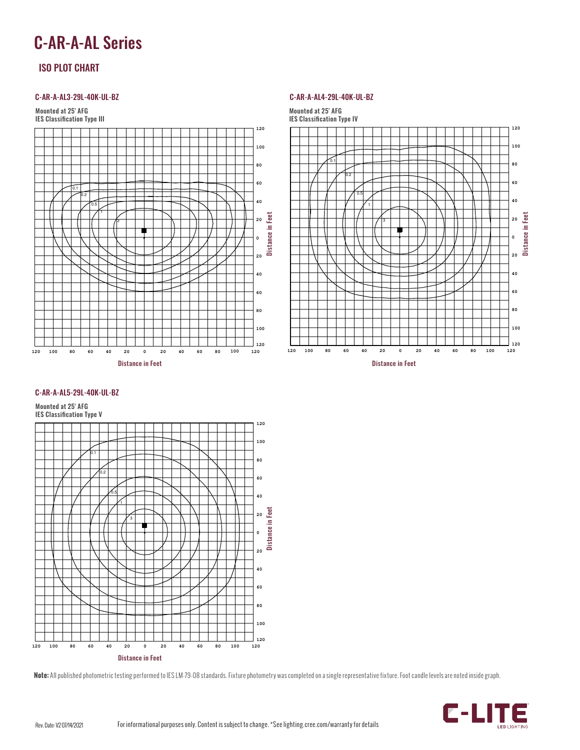## C-AR-A-AL Series

### ISO PLOT CHART

#### C-AR-A-AL3-29L-40K-UL-BZ



#### C-AR-A-AL4-29L-40K-UL-BZ



#### C-AR-A-AL5-29L-40K-UL-BZ

Mounted at 25' AFG



**Note:** All published photometric testing performed to IES LM-79-08 standards. Fixture photometry was completed on a single representative fixture. Foot candle levels are noted inside graph.